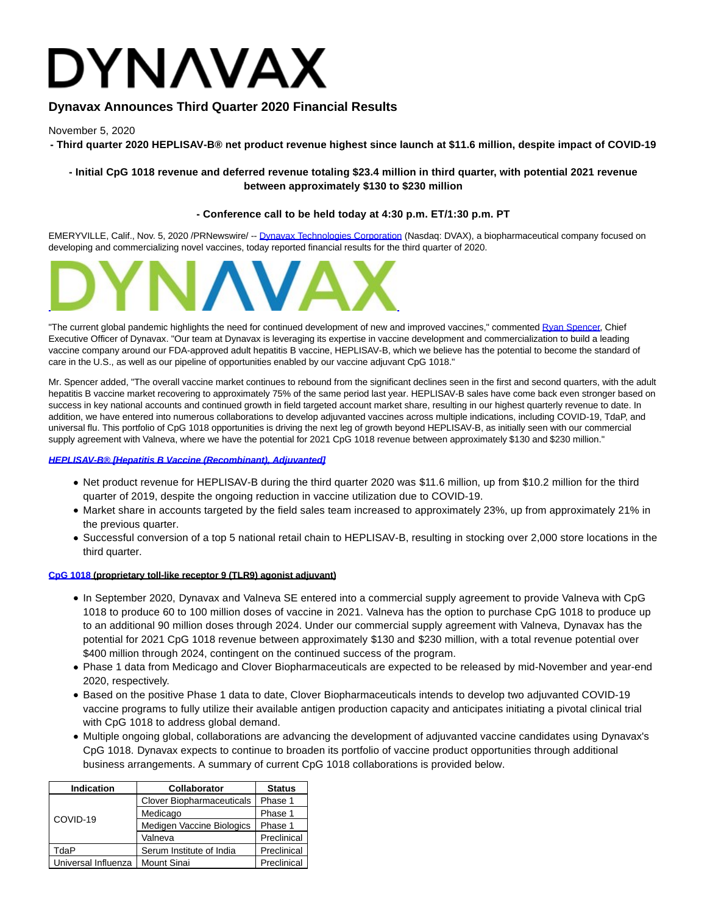# **DYNAVAX**

# **Dynavax Announces Third Quarter 2020 Financial Results**

November 5, 2020

**- Third quarter 2020 HEPLISAV-B® net product revenue highest since launch at \$11.6 million, despite impact of COVID-19**

# **- Initial CpG 1018 revenue and deferred revenue totaling \$23.4 million in third quarter, with potential 2021 revenue between approximately \$130 to \$230 million**

# **- Conference call to be held today at 4:30 p.m. ET/1:30 p.m. PT**

EMERYVILLE, Calif., Nov. 5, 2020 /PRNewswire/ -- [Dynavax Technologies Corporation \(](https://c212.net/c/link/?t=0&l=en&o=2972172-1&h=1568553051&u=http%3A%2F%2Fwww.dynavax.com%2F&a=Dynavax+Technologies+Corporation)Nasdaq: DVAX), a biopharmaceutical company focused on developing and commercializing novel vaccines, today reported financial results for the third quarter of 2020.



"The current global pandemic highlights the need for continued development of new and improved vaccines," commented [Ryan Spencer,](https://c212.net/c/link/?t=0&l=en&o=2972172-1&h=2868244952&u=http%3A%2F%2Fwww.dynavax.com%2Fabout-us%2Fmanagement-team%2F&a=Ryan+Spencer) Chief Executive Officer of Dynavax. "Our team at Dynavax is leveraging its expertise in vaccine development and commercialization to build a leading vaccine company around our FDA-approved adult hepatitis B vaccine, HEPLISAV-B, which we believe has the potential to become the standard of care in the U.S., as well as our pipeline of opportunities enabled by our vaccine adjuvant CpG 1018."

Mr. Spencer added, "The overall vaccine market continues to rebound from the significant declines seen in the first and second quarters, with the adult hepatitis B vaccine market recovering to approximately 75% of the same period last year. HEPLISAV-B sales have come back even stronger based on success in key national accounts and continued growth in field targeted account market share, resulting in our highest quarterly revenue to date. In addition, we have entered into numerous collaborations to develop adjuvanted vaccines across multiple indications, including COVID-19, TdaP, and universal flu. This portfolio of CpG 1018 opportunities is driving the next leg of growth beyond HEPLISAV-B, as initially seen with our commercial supply agreement with Valneva, where we have the potential for 2021 CpG 1018 revenue between approximately \$130 and \$230 million."

## **[HEPLISAV-B® \[Hepatitis B Vaccine \(Recombinant\), Adjuvanted\]](https://c212.net/c/link/?t=0&l=en&o=2972172-1&h=3662124573&u=https%3A%2F%2Fwww.dynavax.com%2Fproduct%2Fheplisav-b%2F&a=HEPLISAV-B%C2%AE+%5BHepatitis+B+Vaccine+(Recombinant)%2C+Adjuvanted%5D)**

- Net product revenue for HEPLISAV-B during the third quarter 2020 was \$11.6 million, up from \$10.2 million for the third quarter of 2019, despite the ongoing reduction in vaccine utilization due to COVID-19.
- Market share in accounts targeted by the field sales team increased to approximately 23%, up from approximately 21% in the previous quarter.
- Successful conversion of a top 5 national retail chain to HEPLISAV-B, resulting in stocking over 2,000 store locations in the third quarter.

## **[CpG 1018 \(](https://c212.net/c/link/?t=0&l=en&o=2972172-1&h=1861861778&u=https%3A%2F%2Fwww.dynavax.com%2Fscience%2Fcpg-1018%2F&a=CpG+1018)proprietary toll-like receptor 9 (TLR9) agonist adjuvant)**

- In September 2020, Dynavax and Valneva SE entered into a commercial supply agreement to provide Valneva with CpG 1018 to produce 60 to 100 million doses of vaccine in 2021. Valneva has the option to purchase CpG 1018 to produce up to an additional 90 million doses through 2024. Under our commercial supply agreement with Valneva, Dynavax has the potential for 2021 CpG 1018 revenue between approximately \$130 and \$230 million, with a total revenue potential over \$400 million through 2024, contingent on the continued success of the program.
- Phase 1 data from Medicago and Clover Biopharmaceuticals are expected to be released by mid-November and year-end 2020, respectively.
- Based on the positive Phase 1 data to date, Clover Biopharmaceuticals intends to develop two adjuvanted COVID-19 vaccine programs to fully utilize their available antigen production capacity and anticipates initiating a pivotal clinical trial with CpG 1018 to address global demand.
- Multiple ongoing global, collaborations are advancing the development of adjuvanted vaccine candidates using Dynavax's CpG 1018. Dynavax expects to continue to broaden its portfolio of vaccine product opportunities through additional business arrangements. A summary of current CpG 1018 collaborations is provided below.

| <b>Indication</b>   | <b>Collaborator</b>       | <b>Status</b> |
|---------------------|---------------------------|---------------|
| COVID-19            | Clover Biopharmaceuticals | Phase 1       |
|                     | Medicago                  | Phase 1       |
|                     | Medigen Vaccine Biologics | Phase 1       |
|                     | Valneva                   | Preclinical   |
| TdaP                | Serum Institute of India  | Preclinical   |
| Universal Influenza | Mount Sinai               | Preclinical   |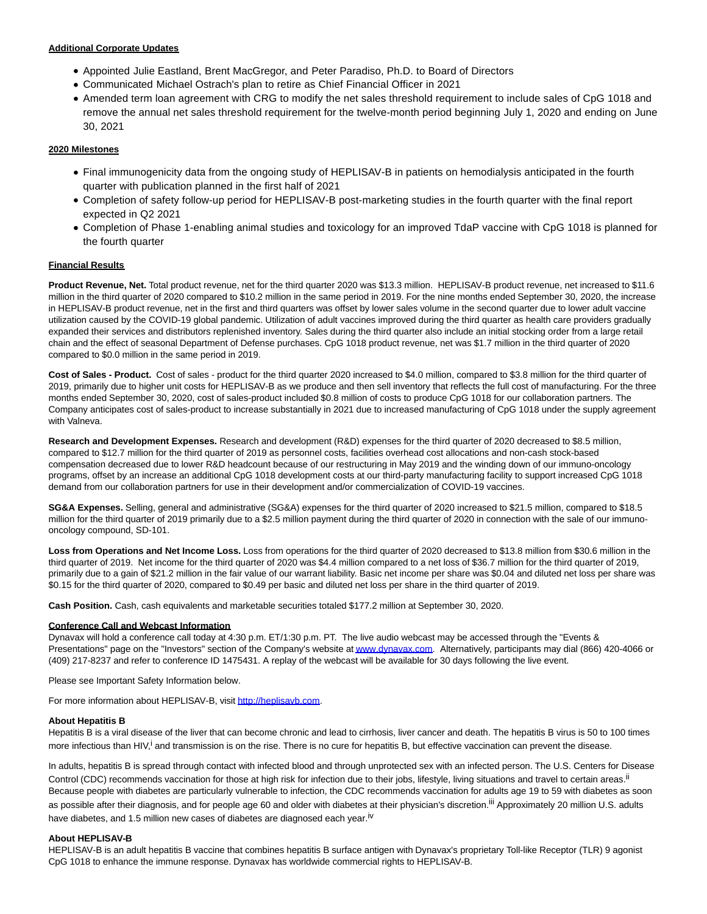#### **Additional Corporate Updates**

- Appointed Julie Eastland, Brent MacGregor, and Peter Paradiso, Ph.D. to Board of Directors
- Communicated Michael Ostrach's plan to retire as Chief Financial Officer in 2021
- Amended term loan agreement with CRG to modify the net sales threshold requirement to include sales of CpG 1018 and remove the annual net sales threshold requirement for the twelve-month period beginning July 1, 2020 and ending on June 30, 2021

#### **2020 Milestones**

- Final immunogenicity data from the ongoing study of HEPLISAV-B in patients on hemodialysis anticipated in the fourth quarter with publication planned in the first half of 2021
- Completion of safety follow-up period for HEPLISAV-B post-marketing studies in the fourth quarter with the final report expected in Q2 2021
- Completion of Phase 1-enabling animal studies and toxicology for an improved TdaP vaccine with CpG 1018 is planned for the fourth quarter

#### **Financial Results**

**Product Revenue, Net.** Total product revenue, net for the third quarter 2020 was \$13.3 million. HEPLISAV-B product revenue, net increased to \$11.6 million in the third quarter of 2020 compared to \$10.2 million in the same period in 2019. For the nine months ended September 30, 2020, the increase in HEPLISAV-B product revenue, net in the first and third quarters was offset by lower sales volume in the second quarter due to lower adult vaccine utilization caused by the COVID-19 global pandemic. Utilization of adult vaccines improved during the third quarter as health care providers gradually expanded their services and distributors replenished inventory. Sales during the third quarter also include an initial stocking order from a large retail chain and the effect of seasonal Department of Defense purchases. CpG 1018 product revenue, net was \$1.7 million in the third quarter of 2020 compared to \$0.0 million in the same period in 2019.

**Cost of Sales - Product.** Cost of sales - product for the third quarter 2020 increased to \$4.0 million, compared to \$3.8 million for the third quarter of 2019, primarily due to higher unit costs for HEPLISAV-B as we produce and then sell inventory that reflects the full cost of manufacturing. For the three months ended September 30, 2020, cost of sales-product included \$0.8 million of costs to produce CpG 1018 for our collaboration partners. The Company anticipates cost of sales-product to increase substantially in 2021 due to increased manufacturing of CpG 1018 under the supply agreement with Valneva.

**Research and Development Expenses.** Research and development (R&D) expenses for the third quarter of 2020 decreased to \$8.5 million, compared to \$12.7 million for the third quarter of 2019 as personnel costs, facilities overhead cost allocations and non-cash stock-based compensation decreased due to lower R&D headcount because of our restructuring in May 2019 and the winding down of our immuno-oncology programs, offset by an increase an additional CpG 1018 development costs at our third-party manufacturing facility to support increased CpG 1018 demand from our collaboration partners for use in their development and/or commercialization of COVID-19 vaccines.

**SG&A Expenses.** Selling, general and administrative (SG&A) expenses for the third quarter of 2020 increased to \$21.5 million, compared to \$18.5 million for the third quarter of 2019 primarily due to a \$2.5 million payment during the third quarter of 2020 in connection with the sale of our immunooncology compound, SD-101.

**Loss from Operations and Net Income Loss.** Loss from operations for the third quarter of 2020 decreased to \$13.8 million from \$30.6 million in the third quarter of 2019. Net income for the third quarter of 2020 was \$4.4 million compared to a net loss of \$36.7 million for the third quarter of 2019, primarily due to a gain of \$21.2 million in the fair value of our warrant liability. Basic net income per share was \$0.04 and diluted net loss per share was \$0.15 for the third quarter of 2020, compared to \$0.49 per basic and diluted net loss per share in the third quarter of 2019.

**Cash Position.** Cash, cash equivalents and marketable securities totaled \$177.2 million at September 30, 2020.

#### **Conference Call and Webcast Information**

Dynavax will hold a conference call today at 4:30 p.m. ET/1:30 p.m. PT. The live audio webcast may be accessed through the "Events & Presentations" page on the "Investors" section of the Company's website a[t www.dynavax.com.](https://c212.net/c/link/?t=0&l=en&o=2972172-1&h=2447451578&u=http%3A%2F%2Fwww.dynavax.com%2F&a=www.dynavax.com) Alternatively, participants may dial (866) 420-4066 or (409) 217-8237 and refer to conference ID 1475431. A replay of the webcast will be available for 30 days following the live event.

Please see Important Safety Information below.

For more information about HEPLISAV-B, visit [http://heplisavb.com.](https://c212.net/c/link/?t=0&l=en&o=2972172-1&h=392074123&u=http%3A%2F%2Fheplisavb.com%2F&a=http%3A%2F%2Fheplisavb.com)

#### **About Hepatitis B**

Hepatitis B is a viral disease of the liver that can become chronic and lead to cirrhosis, liver cancer and death. The hepatitis B virus is 50 to 100 times more infectious than HIV,<sup>i</sup> and transmission is on the rise. There is no cure for hepatitis B, but effective vaccination can prevent the disease.

In adults, hepatitis B is spread through contact with infected blood and through unprotected sex with an infected person. The U.S. Centers for Disease Control (CDC) recommends vaccination for those at high risk for infection due to their jobs, lifestyle, living situations and travel to certain areas.<sup>ii</sup> Because people with diabetes are particularly vulnerable to infection, the CDC recommends vaccination for adults age 19 to 59 with diabetes as soon as possible after their diagnosis, and for people age 60 and older with diabetes at their physician's discretion.<sup>iii</sup> Approximately 20 million U.S. adults have diabetes, and 1.5 million new cases of diabetes are diagnosed each year.<sup>iv</sup>

#### **About HEPLISAV-B**

HEPLISAV-B is an adult hepatitis B vaccine that combines hepatitis B surface antigen with Dynavax's proprietary Toll-like Receptor (TLR) 9 agonist CpG 1018 to enhance the immune response. Dynavax has worldwide commercial rights to HEPLISAV-B.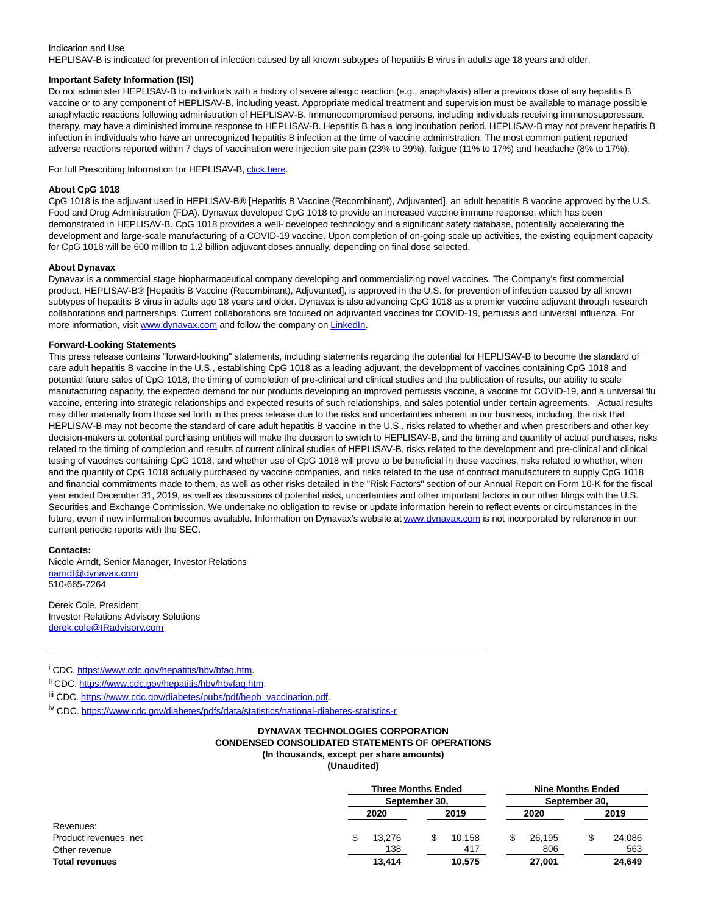#### Indication and Use

HEPLISAV-B is indicated for prevention of infection caused by all known subtypes of hepatitis B virus in adults age 18 years and older.

#### **Important Safety Information (ISI)**

Do not administer HEPLISAV-B to individuals with a history of severe allergic reaction (e.g., anaphylaxis) after a previous dose of any hepatitis B vaccine or to any component of HEPLISAV-B, including yeast. Appropriate medical treatment and supervision must be available to manage possible anaphylactic reactions following administration of HEPLISAV-B. Immunocompromised persons, including individuals receiving immunosuppressant therapy, may have a diminished immune response to HEPLISAV-B. Hepatitis B has a long incubation period. HEPLISAV-B may not prevent hepatitis B infection in individuals who have an unrecognized hepatitis B infection at the time of vaccine administration. The most common patient reported adverse reactions reported within 7 days of vaccination were injection site pain (23% to 39%), fatigue (11% to 17%) and headache (8% to 17%).

For full Prescribing Information for HEPLISAV-B[, click here.](https://c212.net/c/link/?t=0&l=en&o=2972172-1&h=2137936477&u=https%3A%2F%2Fwww.heplisavb.com%2Fimages%2Fpdf%2FHEPLISAV-B-Prescribing-Information.pdf&a=click+here)

#### **About CpG 1018**

CpG 1018 is the adjuvant used in HEPLISAV-B® [Hepatitis B Vaccine (Recombinant), Adjuvanted], an adult hepatitis B vaccine approved by the U.S. Food and Drug Administration (FDA). Dynavax developed CpG 1018 to provide an increased vaccine immune response, which has been demonstrated in HEPLISAV-B. CpG 1018 provides a well- developed technology and a significant safety database, potentially accelerating the development and large-scale manufacturing of a COVID-19 vaccine. Upon completion of on-going scale up activities, the existing equipment capacity for CpG 1018 will be 600 million to 1.2 billion adjuvant doses annually, depending on final dose selected.

#### **About Dynavax**

Dynavax is a commercial stage biopharmaceutical company developing and commercializing novel vaccines. The Company's first commercial product, HEPLISAV-B® [Hepatitis B Vaccine (Recombinant), Adjuvanted], is approved in the U.S. for prevention of infection caused by all known subtypes of hepatitis B virus in adults age 18 years and older. Dynavax is also advancing CpG 1018 as a premier vaccine adjuvant through research collaborations and partnerships. Current collaborations are focused on adjuvanted vaccines for COVID-19, pertussis and universal influenza. For more information, visit [www.dynavax.com a](https://c212.net/c/link/?t=0&l=en&o=2972172-1&h=2447451578&u=http%3A%2F%2Fwww.dynavax.com%2F&a=www.dynavax.com)nd follow the company o[n LinkedIn.](https://c212.net/c/link/?t=0&l=en&o=2972172-1&h=1179748731&u=https%3A%2F%2Fwww.linkedin.com%2Fcompany%2Fdynavax-technologies%2F&a=LinkedIn)

#### **Forward-Looking Statements**

This press release contains "forward-looking" statements, including statements regarding the potential for HEPLISAV-B to become the standard of care adult hepatitis B vaccine in the U.S., establishing CpG 1018 as a leading adjuvant, the development of vaccines containing CpG 1018 and potential future sales of CpG 1018, the timing of completion of pre-clinical and clinical studies and the publication of results, our ability to scale manufacturing capacity, the expected demand for our products developing an improved pertussis vaccine, a vaccine for COVID-19, and a universal flu vaccine, entering into strategic relationships and expected results of such relationships, and sales potential under certain agreements. Actual results may differ materially from those set forth in this press release due to the risks and uncertainties inherent in our business, including, the risk that HEPLISAV-B may not become the standard of care adult hepatitis B vaccine in the U.S., risks related to whether and when prescribers and other key decision-makers at potential purchasing entities will make the decision to switch to HEPLISAV-B, and the timing and quantity of actual purchases, risks related to the timing of completion and results of current clinical studies of HEPLISAV-B, risks related to the development and pre-clinical and clinical testing of vaccines containing CpG 1018, and whether use of CpG 1018 will prove to be beneficial in these vaccines, risks related to whether, when and the quantity of CpG 1018 actually purchased by vaccine companies, and risks related to the use of contract manufacturers to supply CpG 1018 and financial commitments made to them, as well as other risks detailed in the "Risk Factors" section of our Annual Report on Form 10-K for the fiscal year ended December 31, 2019, as well as discussions of potential risks, uncertainties and other important factors in our other filings with the U.S. Securities and Exchange Commission. We undertake no obligation to revise or update information herein to reflect events or circumstances in the future, even if new information becomes available. Information on Dynavax's website at [www.dynavax.com i](https://c212.net/c/link/?t=0&l=en&o=2972172-1&h=2447451578&u=http%3A%2F%2Fwww.dynavax.com%2F&a=www.dynavax.com)s not incorporated by reference in our current periodic reports with the SEC.

#### **Contacts:**

Nicole Arndt, Senior Manager, Investor Relations [narndt@dynavax.com](mailto:narndt@dynavax.com) 510-665-7264

Derek Cole, President Investor Relations Advisory Solutions [derek.cole@IRadvisory.com](mailto:derek.cole@IRadvisory.com)

<sup>i</sup> CDC. https://www.cdc.gov/hepatitis/hbv/bfaq.htm.

ii CDC. [https://www.cdc.gov/hepatitis/hbv/hbvfaq.htm.](https://c212.net/c/link/?t=0&l=en&o=2972172-1&h=3500565664&u=https%3A%2F%2Fwww.cdc.gov%2Fhepatitis%2Fhbv%2Fhbvfaq.htm&a=https%3A%2F%2Fwww.cdc.gov%2Fhepatitis%2Fhbv%2Fhbvfaq.htm)

iii CDC[. https://www.cdc.gov/diabetes/pubs/pdf/hepb\\_vaccination.pdf.](https://c212.net/c/link/?t=0&l=en&o=2972172-1&h=1414101726&u=https%3A%2F%2Fwww.cdc.gov%2Fdiabetes%2Fpubs%2Fpdf%2Fhepb_vaccination.pdf&a=https%3A%2F%2Fwww.cdc.gov%2Fdiabetes%2Fpubs%2Fpdf%2Fhepb_vaccination.pdf)

iv CDC. [https://www.cdc.gov/diabetes/pdfs/data/statistics/national-diabetes-statistics-r](https://c212.net/c/link/?t=0&l=en&o=2972172-1&h=2058645227&u=https%3A%2F%2Fwww.cdc.gov%2Fdiabetes%2Fpdfs%2Fdata%2Fstatistics%2Fnational-diabetes-statistics-r&a=https%3A%2F%2Fwww.cdc.gov%2Fdiabetes%2Fpdfs%2Fdata%2Fstatistics%2Fnational-diabetes-statistics-r)

\_\_\_\_\_\_\_\_\_\_\_\_\_\_\_\_\_\_\_\_\_\_\_\_\_\_\_\_\_\_\_\_\_\_\_\_\_\_\_\_\_\_\_\_\_\_\_\_\_\_\_\_\_\_\_\_\_\_\_\_\_\_\_\_\_\_\_\_\_\_\_\_\_\_\_\_\_\_\_\_\_\_\_\_\_

#### **DYNAVAX TECHNOLOGIES CORPORATION CONDENSED CONSOLIDATED STATEMENTS OF OPERATIONS (In thousands, except per share amounts) (Unaudited)**

|                       |        | <b>Three Months Ended</b><br>September 30, |        | <b>Nine Months Ended</b><br>September 30, |  |  |
|-----------------------|--------|--------------------------------------------|--------|-------------------------------------------|--|--|
|                       |        |                                            |        |                                           |  |  |
|                       | 2020   | 2019                                       | 2020   | 2019                                      |  |  |
| Revenues:             |        |                                            |        |                                           |  |  |
| Product revenues, net | 13.276 | 10.158                                     | 26.195 | 24.086                                    |  |  |
| Other revenue         | 138    | 417                                        | 806    | 563                                       |  |  |
| Total revenues        | 13.414 | 10,575                                     | 27,001 | 24,649                                    |  |  |